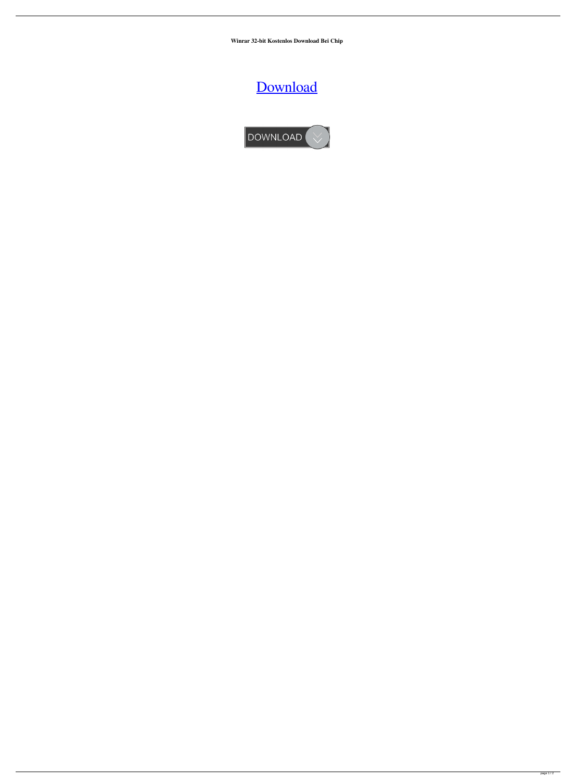**Winrar 32-bit Kostenlos Download Bei Chip**

[Download](http://evacdir.com/d2lucmFyIDMyLWJpdCBrb3N0ZW5sb3MgZG93bmxvYWQgYmVpIGNoaXAd2l.ZG93bmxvYWR8QTZFTW1sNmQzeDhNVFkxTWpjME1EZzJObng4TWpVM05IeDhLRTBwSUhKbFlXUXRZbXh2WnlCYlJtRnpkQ0JIUlU1ZA/beings.heebie.professor?resume=shopped&surprise=ukku)